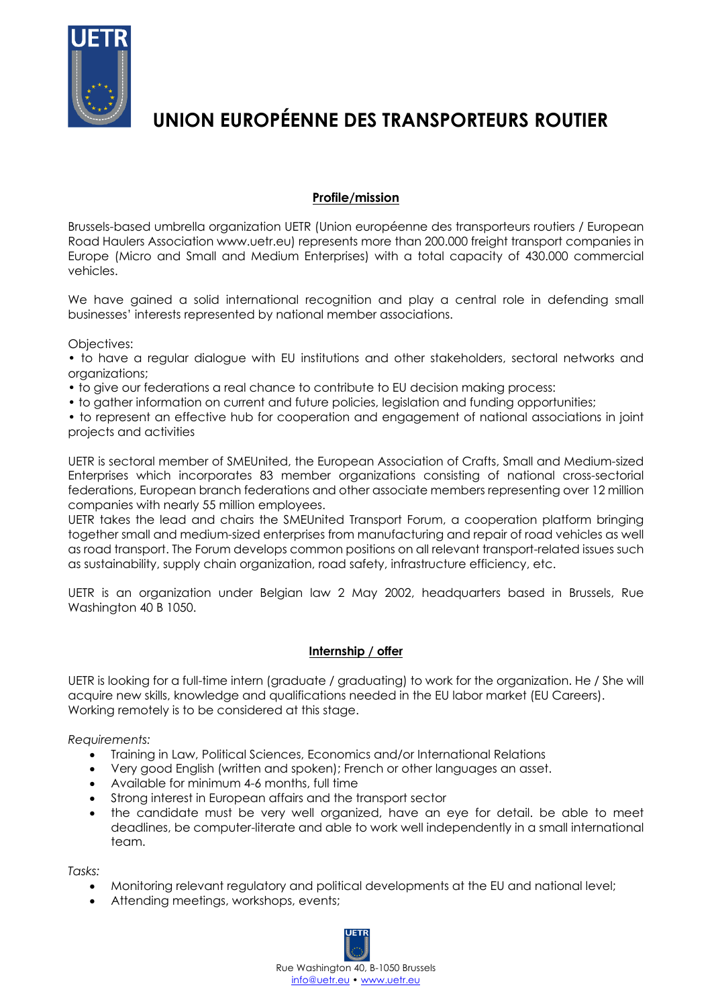

# **UNION EUROPÉENNE DES TRANSPORTEURS ROUTIER**

## **Profile/mission**

Brussels-based umbrella organization UETR (Union européenne des transporteurs routiers / European Road Haulers Association www.uetr.eu) represents more than 200.000 freight transport companies in Europe (Micro and Small and Medium Enterprises) with a total capacity of 430.000 commercial vehicles.

We have gained a solid international recognition and play a central role in defending small businesses' interests represented by national member associations.

#### Objectives:

• to have a regular dialogue with EU institutions and other stakeholders, sectoral networks and organizations;

- to give our federations a real chance to contribute to EU decision making process:
- to gather information on current and future policies, legislation and funding opportunities;

• to represent an effective hub for cooperation and engagement of national associations in joint projects and activities

UETR is sectoral member of SMEUnited, the European Association of Crafts, Small and Medium-sized Enterprises which incorporates 83 member organizations consisting of national cross-sectorial federations, European branch federations and other associate members representing over 12 million companies with nearly 55 million employees.

UETR takes the lead and chairs the SMEUnited Transport Forum, a cooperation platform bringing together small and medium-sized enterprises from manufacturing and repair of road vehicles as well as road transport. The Forum develops common positions on all relevant transport-related issues such as sustainability, supply chain organization, road safety, infrastructure efficiency, etc.

UETR is an organization under Belgian law 2 May 2002, headquarters based in Brussels, Rue Washington 40 B 1050.

#### **Internship / offer**

UETR is looking for a full-time intern (graduate / graduating) to work for the organization. He / She will acquire new skills, knowledge and qualifications needed in the EU labor market (EU Careers). Working remotely is to be considered at this stage.

*Requirements:*

- Training in Law, Political Sciences, Economics and/or International Relations
- Very good English (written and spoken); French or other languages an asset.
- Available for minimum 4-6 months, full time
- Strong interest in European affairs and the transport sector
- the candidate must be very well organized, have an eye for detail. be able to meet deadlines, be computer-literate and able to work well independently in a small international team.

*Tasks:*

- Monitoring relevant regulatory and political developments at the EU and national level;
- Attending meetings, workshops, events;